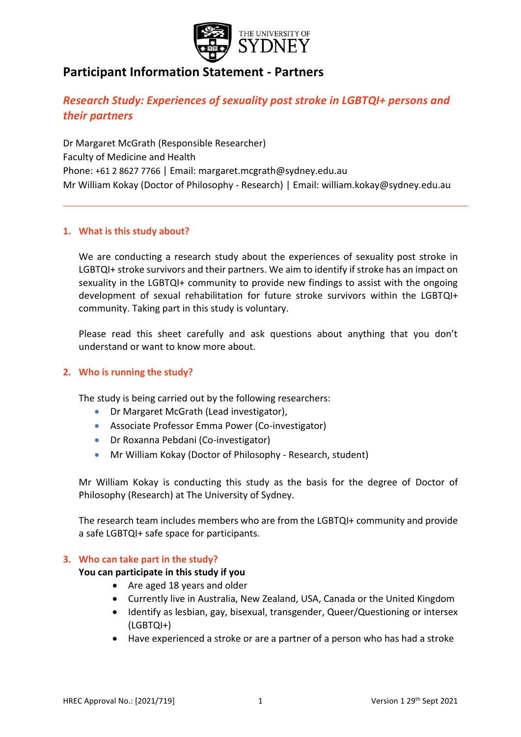

# **Participant Information Statement - Partners**

# *Research Study: Experiences of sexuality post stroke in LGBTQI+ persons and their partners*

Dr Margaret McGrath (Responsible Researcher) Faculty of Medicine and Health Phone: +61 2 8627 7766 | Email: margaret.mcgrath@sydney.edu.au Mr William Kokay (Doctor of Philosophy - Research) | Email: william.kokay@sydney.edu.au

## **1. What is this study about?**

We are conducting a research study about the experiences of sexuality post stroke in LGBTQI+ stroke survivors and their partners. We aim to identify if stroke has an impact on sexuality in the LGBTQI+ community to provide new findings to assist with the ongoing development of sexual rehabilitation for future stroke survivors within the LGBTQI+ community. Taking part in this study is voluntary.

Please read this sheet carefully and ask questions about anything that you don't understand or want to know more about.

## **2. Who is running the study?**

The study is being carried out by the following researchers:

- Dr Margaret McGrath (Lead investigator),
- Associate Professor Emma Power (Co-investigator)
- Dr Roxanna Pebdani (Co-investigator)
- Mr William Kokay (Doctor of Philosophy Research, student)

Mr William Kokay is conducting this study as the basis for the degree of Doctor of Philosophy (Research) at The University of Sydney.

The research team includes members who are from the LGBTQI+ community and provide a safe LGBTQI+ safe space for participants.

## **3. Who can take part in the study?**

## **You can participate in this study if you**

- Are aged 18 years and older
- Currently live in Australia, New Zealand, USA, Canada or the United Kingdom
- Identify as lesbian, gay, bisexual, transgender, Queer/Questioning or intersex (LGBTQI+)
- Have experienced a stroke or are a partner of a person who has had a stroke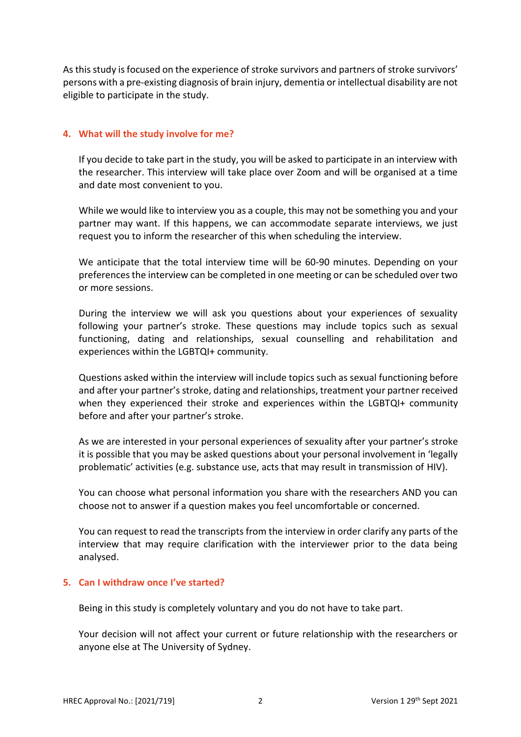As this study is focused on the experience of stroke survivors and partners of stroke survivors' persons with a pre-existing diagnosis of brain injury, dementia or intellectual disability are not eligible to participate in the study.

## **4. What will the study involve for me?**

If you decide to take part in the study, you will be asked to participate in an interview with the researcher. This interview will take place over Zoom and will be organised at a time and date most convenient to you.

While we would like to interview you as a couple, this may not be something you and your partner may want. If this happens, we can accommodate separate interviews, we just request you to inform the researcher of this when scheduling the interview.

We anticipate that the total interview time will be 60-90 minutes. Depending on your preferences the interview can be completed in one meeting or can be scheduled over two or more sessions.

During the interview we will ask you questions about your experiences of sexuality following your partner's stroke. These questions may include topics such as sexual functioning, dating and relationships, sexual counselling and rehabilitation and experiences within the LGBTQI+ community.

Questions asked within the interview will include topics such as sexual functioning before and after your partner's stroke, dating and relationships, treatment your partner received when they experienced their stroke and experiences within the LGBTQI+ community before and after your partner's stroke.

As we are interested in your personal experiences of sexuality after your partner's stroke it is possible that you may be asked questions about your personal involvement in 'legally problematic' activities (e.g. substance use, acts that may result in transmission of HIV).

You can choose what personal information you share with the researchers AND you can choose not to answer if a question makes you feel uncomfortable or concerned.

You can request to read the transcripts from the interview in order clarify any parts of the interview that may require clarification with the interviewer prior to the data being analysed.

## **5. Can I withdraw once I've started?**

Being in this study is completely voluntary and you do not have to take part.

Your decision will not affect your current or future relationship with the researchers or anyone else at The University of Sydney.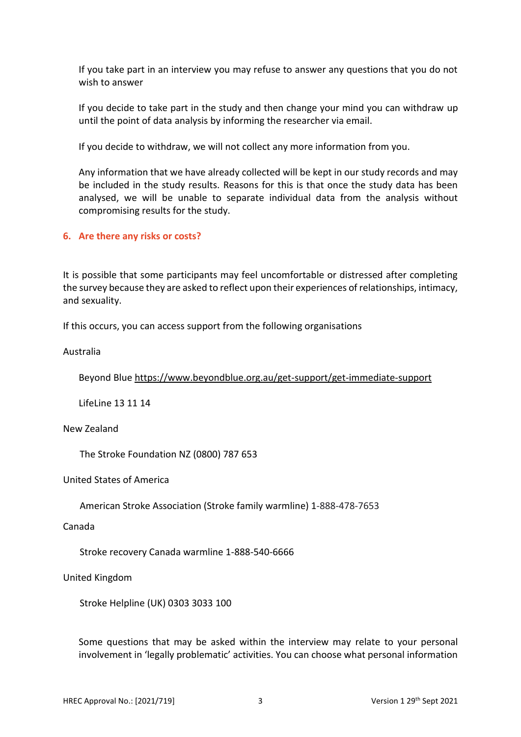If you take part in an interview you may refuse to answer any questions that you do not wish to answer

If you decide to take part in the study and then change your mind you can withdraw up until the point of data analysis by informing the researcher via email.

If you decide to withdraw, we will not collect any more information from you.

Any information that we have already collected will be kept in our study records and may be included in the study results. Reasons for this is that once the study data has been analysed, we will be unable to separate individual data from the analysis without compromising results for the study.

#### **6. Are there any risks or costs?**

It is possible that some participants may feel uncomfortable or distressed after completing the survey because they are asked to reflect upon their experiences of relationships, intimacy, and sexuality.

If this occurs, you can access support from the following organisations

#### Australia

Beyond Blue<https://www.beyondblue.org.au/get-support/get-immediate-support>

LifeLine 13 11 14

### New Zealand

The Stroke Foundation NZ (0800) 787 653

United States of America

American Stroke Association (Stroke family warmline) 1-888-478-7653

#### Canada

Stroke recovery Canada warmline 1-888-540-6666

#### United Kingdom

Stroke Helpline (UK) 0303 3033 100

Some questions that may be asked within the interview may relate to your personal involvement in 'legally problematic' activities. You can choose what personal information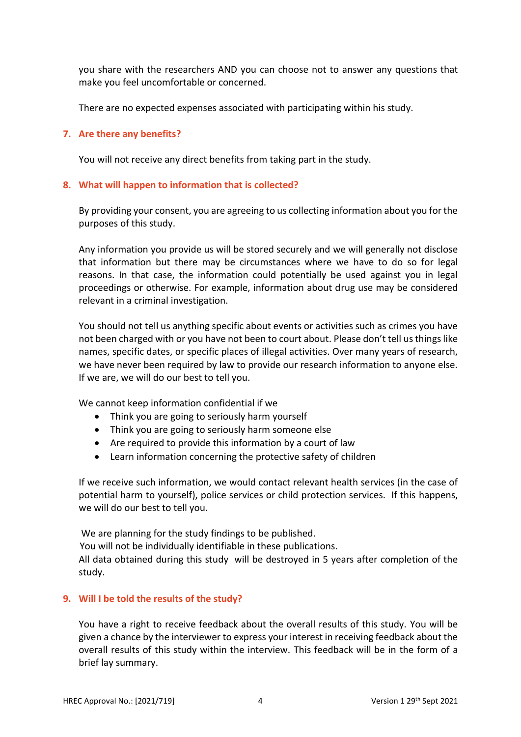you share with the researchers AND you can choose not to answer any questions that make you feel uncomfortable or concerned.

There are no expected expenses associated with participating within his study.

### **7. Are there any benefits?**

You will not receive any direct benefits from taking part in the study.

### **8. What will happen to information that is collected?**

By providing your consent, you are agreeing to us collecting information about you for the purposes of this study.

Any information you provide us will be stored securely and we will generally not disclose that information but there may be circumstances where we have to do so for legal reasons. In that case, the information could potentially be used against you in legal proceedings or otherwise. For example, information about drug use may be considered relevant in a criminal investigation.

You should not tell us anything specific about events or activities such as crimes you have not been charged with or you have not been to court about. Please don't tell us things like names, specific dates, or specific places of illegal activities. Over many years of research, we have never been required by law to provide our research information to anyone else. If we are, we will do our best to tell you.

We cannot keep information confidential if we

- Think you are going to seriously harm yourself
- Think you are going to seriously harm someone else
- Are required to provide this information by a court of law
- Learn information concerning the protective safety of children

If we receive such information, we would contact relevant health services (in the case of potential harm to yourself), police services or child protection services. If this happens, we will do our best to tell you.

We are planning for the study findings to be published.

You will not be individually identifiable in these publications.

All data obtained during this study will be destroyed in 5 years after completion of the study.

## **9. Will I be told the results of the study?**

You have a right to receive feedback about the overall results of this study. You will be given a chance by the interviewer to express your interest in receiving feedback about the overall results of this study within the interview. This feedback will be in the form of a brief lay summary.